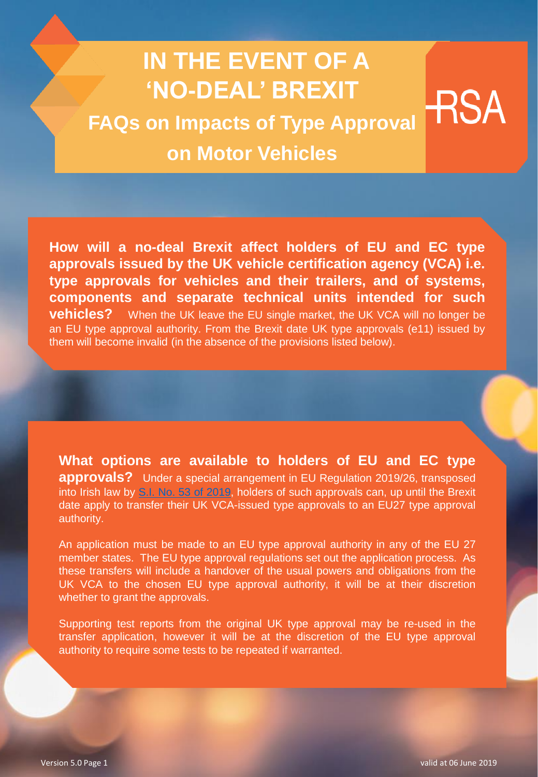# **IN THE EVENT OF A 'NO-DEAL' BREXIT**

## **RSA FAQs on Impacts of Type Approval on Motor Vehicles**

**How will a no-deal Brexit affect holders of EU and EC type approvals issued by the UK vehicle certification agency (VCA) i.e. type approvals for vehicles and their trailers, and of systems, components and separate technical units intended for such vehicles?** When the UK leave the EU single market, the UK VCA will no longer be an EU type approval authority. From the Brexit date UK type approvals (e11) issued by them will become invalid (in the absence of the provisions listed below).

**What options are available to holders of EU and EC type approvals?** Under a special arrangement in EU Regulation 2019/26, transposed into Irish law by S.I. No. 53 of [2019,](http://www.legislation.ie/eli/2019/si/53/made/en/pdf) holders of such approvals can, up until the Brexit date apply to transfer their UK VCA-issued type approvals to an EU27 type approval authority.

An application must be made to an EU type approval authority in any of the EU 27 member states. The EU type approval regulations set out the application process. As these transfers will include a handover of the usual powers and obligations from the UK VCA to the chosen EU type approval authority, it will be at their discretion whether to grant the approvals.

Supporting test reports from the original UK type approval may be re-used in the transfer application, however it will be at the discretion of the EU type approval authority to require some tests to be repeated if warranted.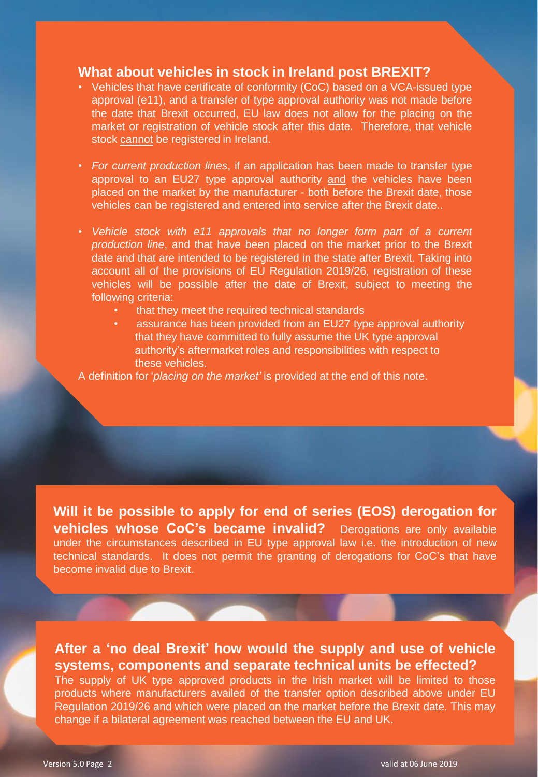#### **What about vehicles in stock in Ireland post BREXIT?**

- Vehicles that have certificate of conformity (CoC) based on a VCA-issued type approval (e11), and a transfer of type approval authority was not made before the date that Brexit occurred, EU law does not allow for the placing on the market or registration of vehicle stock after this date. Therefore, that vehicle stock cannot be registered in Ireland.
- *For current production lines*, if an application has been made to transfer type approval to an EU27 type approval authority and the vehicles have been placed on the market by the manufacturer - both before the Brexit date, those vehicles can be registered and entered into service after the Brexit date..
- *Vehicle stock with e11 approvals that no longer form part of a current production line*, and that have been placed on the market prior to the Brexit date and that are intended to be registered in the state after Brexit. Taking into account all of the provisions of EU Regulation 2019/26, registration of these vehicles will be possible after the date of Brexit, subject to meeting the following criteria:
	- that they meet the required technical standards
	- assurance has been provided from an EU27 type approval authority that they have committed to fully assume the UK type approval authority's aftermarket roles and responsibilities with respect to these vehicles.

A definition for '*placing on the market'* is provided at the end of this note.

**Will it be possible to apply for end of series (EOS) derogation for vehicles whose CoC's became invalid?** Derogations are only available under the circumstances described in EU type approval law i.e. the introduction of new technical standards. It does not permit the granting of derogations for CoC's that have become invalid due to Brexit.

### **After a 'no deal Brexit' how would the supply and use of vehicle systems, components and separate technical units be effected?**

The supply of UK type approved products in the Irish market will be limited to those products where manufacturers availed of the transfer option described above under EU Regulation 2019/26 and which were placed on the market before the Brexit date. This may change if a bilateral agreement was reached between the EU and UK.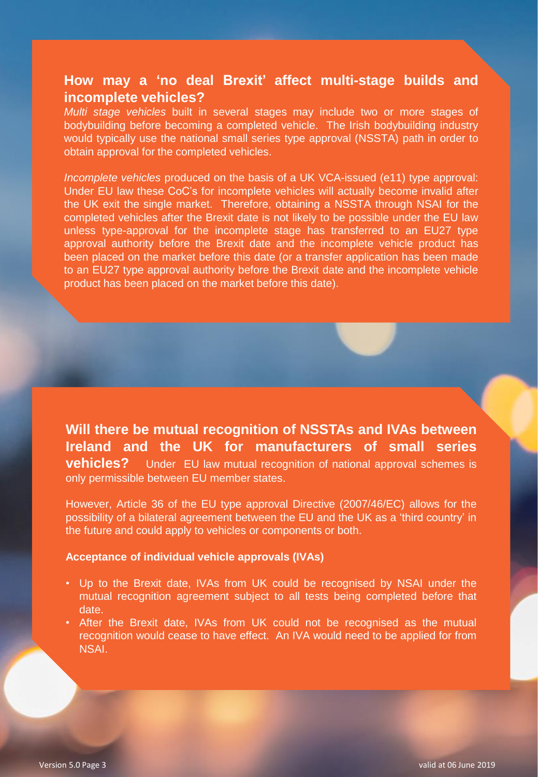#### **How may a 'no deal Brexit' affect multi-stage builds and incomplete vehicles?**

*Multi stage vehicles* built in several stages may include two or more stages of bodybuilding before becoming a completed vehicle. The Irish bodybuilding industry would typically use the national small series type approval (NSSTA) path in order to obtain approval for the completed vehicles.

*Incomplete vehicles* produced on the basis of a UK VCA-issued (e11) type approval: Under EU law these CoC's for incomplete vehicles will actually become invalid after the UK exit the single market. Therefore, obtaining a NSSTA through NSAI for the completed vehicles after the Brexit date is not likely to be possible under the EU law unless type-approval for the incomplete stage has transferred to an EU27 type approval authority before the Brexit date and the incomplete vehicle product has been placed on the market before this date (or a transfer application has been made to an EU27 type approval authority before the Brexit date and the incomplete vehicle product has been placed on the market before this date).

**Will there be mutual recognition of NSSTAs and IVAs between Ireland and the UK for manufacturers of small series vehicles?** Under EU law mutual recognition of national approval schemes is only permissible between EU member states.

However, Article 36 of the EU type approval Directive (2007/46/EC) allows for the possibility of a bilateral agreement between the EU and the UK as a 'third country' in the future and could apply to vehicles or components or both.

#### **Acceptance of individual vehicle approvals (IVAs)**

- Up to the Brexit date, IVAs from UK could be recognised by NSAI under the mutual recognition agreement subject to all tests being completed before that date.
- After the Brexit date, IVAs from UK could not be recognised as the mutual recognition would cease to have effect. An IVA would need to be applied for from NSAI.